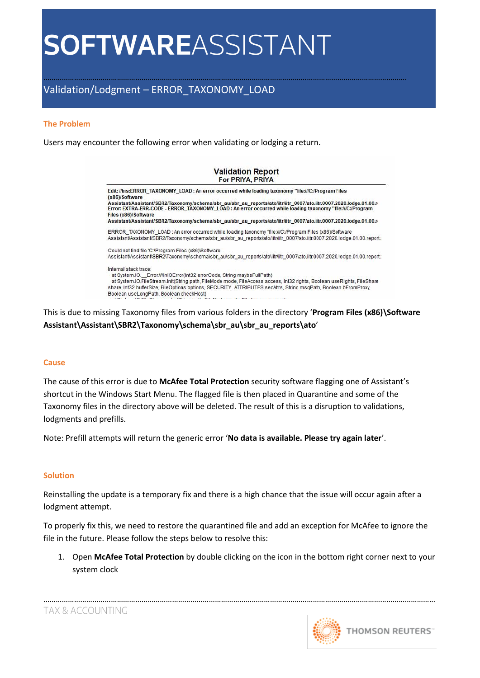## ……………………………………………………………………………………………………………………………………………………………. Validation/Lodgment – ERROR\_TAXONOMY\_LOAD

#### **The Problem**

Users may encounter the following error when validating or lodging a return.

| <b>Validation Report</b><br>For PRIYA, PRIYA                                                                                                                                                                                                                              |  |  |  |  |
|---------------------------------------------------------------------------------------------------------------------------------------------------------------------------------------------------------------------------------------------------------------------------|--|--|--|--|
| Edit: //tns:ERROR_TAXONOMY_LOAD : An error occurred while loading taxonomy "file:///C:/Program Files<br>(x86)/Software                                                                                                                                                    |  |  |  |  |
| Assistant/Assistant/SBR2/Taxonomy/schema/sbr_au/sbr_au_reports/ato/iitr/iitr_0007/ato.iitr.0007.2020.lodge.01.00.r<br>Error: EXTRA-ERR-CODE - ERROR TAXONOMY LOAD: An error occurred while loading taxonomy "file:///C:/Program<br>Files (x86)/Software                   |  |  |  |  |
| Assistant/Assistant/SBR2/Taxonomy/schema/sbr_au/sbr_au_reports/ato/iitr/iitr_0007/ato.iitr.0007.2020.lodge.01.00.r                                                                                                                                                        |  |  |  |  |
| ERROR TAXONOMY LOAD : An error occurred while loading taxonomy "file:///C:/Program Files (x86)/Software<br>Assistant/Assistant/SBR2/Taxonomy/schema/sbr_au/sbr_au_reports/ato/litr/litr_0007/ato.iitr.0007.2020.lodge.01.00.report.                                       |  |  |  |  |
| Could not find file 'C:\Program Files (x86)\Software                                                                                                                                                                                                                      |  |  |  |  |
| Assistant\Assistant\SBR2\Taxonomy\schema\sbr_au\sbr_au_reports\ato\iitr\iitr_0007\ato.iitr.0007.2020.lodge.01.00.report:                                                                                                                                                  |  |  |  |  |
| Internal stack trace:<br>at System.IO. Error.WinIOError(Int32 errorCode, String maybeFullPath)<br>at System.IO.FileStream.Init/String path. FileMode mode. FileAccess access. Int32 rights. Boolean useRights. FileShare                                                  |  |  |  |  |
| share, Int32 bufferSize, FileOptions options, SECURITY ATTRIBUTES secAttrs, String msqPath, Boolean bFromProxy,                                                                                                                                                           |  |  |  |  |
| Boolean useLongPath, Boolean checkHost)<br>The main contract committee of the contract of the main contract of the committee of the contract of the contract of the contract of the contract of the contract of the contract of the contract of the contract of the contr |  |  |  |  |

This is due to missing Taxonomy files from various folders in the directory '**Program Files (x86)\Software Assistant\Assistant\SBR2\Taxonomy\schema\sbr\_au\sbr\_au\_reports\ato**'

#### **Cause**

The cause of this error is due to **McAfee Total Protection** security software flagging one of Assistant's shortcut in the Windows Start Menu. The flagged file is then placed in Quarantine and some of the Taxonomy files in the directory above will be deleted. The result of this is a disruption to validations, lodgments and prefills.

Note: Prefill attempts will return the generic error '**No data is available. Please try again later**'.

#### **Solution**

Reinstalling the update is a temporary fix and there is a high chance that the issue will occur again after a lodgment attempt.

To properly fix this, we need to restore the quarantined file and add an exception for McAfee to ignore the file in the future. Please follow the steps below to resolve this:

1. Open **McAfee Total Protection** by double clicking on the icon in the bottom right corner next to your system clock

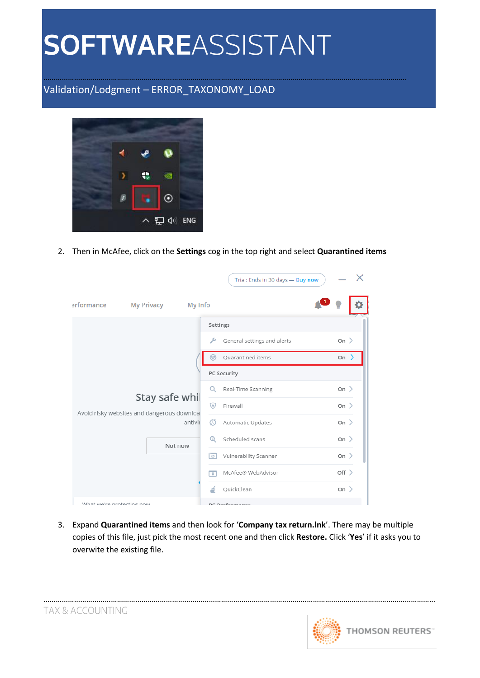## ……………………………………………………………………………………………………………………………………………………………. Validation/Lodgment – ERROR\_TAXONOMY\_LOAD



2. Then in McAfee, click on the **Settings** cog in the top right and select **Quarantined items**

|                                                              |                   |              |                          | Trial: Ends in 30 days - Buy now |                  |  |
|--------------------------------------------------------------|-------------------|--------------|--------------------------|----------------------------------|------------------|--|
| erformance                                                   | <b>My Privacy</b> | My Info      |                          |                                  |                  |  |
|                                                              |                   |              |                          | Settings                         |                  |  |
|                                                              |                   |              | ىر                       | General settings and alerts      | On >             |  |
|                                                              |                   |              |                          | Ouarantined items                | On $\rightarrow$ |  |
| Stay safe whil<br>Avoid risky websites and dangerous downloa |                   |              |                          | PC Security                      |                  |  |
|                                                              |                   |              | Q                        | Real-Time Scanning               | On $\geq$        |  |
|                                                              |                   | ☞            | Firewall                 | On $\geq$                        |                  |  |
|                                                              |                   | antivii      | 05                       | Automatic Updates                | On $\geq$        |  |
|                                                              |                   | Not now<br>ि | $^{\circ}$               | Scheduled scans                  | On $\geq$        |  |
|                                                              |                   |              |                          | Vulnerability Scanner            | On >             |  |
|                                                              |                   |              | $\overline{\phantom{a}}$ | McAfee® WebAdvisor               | $Off$ $>$        |  |
|                                                              |                   |              | é                        | QuickClean                       | On $\geq$        |  |
| What we're protecting now                                    |                   |              |                          | DC Dorformance                   |                  |  |

3. Expand **Quarantined items** and then look for '**Company tax return.lnk**'. There may be multiple copies of this file, just pick the most recent one and then click **Restore.** Click '**Yes**' if it asks you to overwite the existing file.



…………………………………………………………………………………………………………………………………………………………………………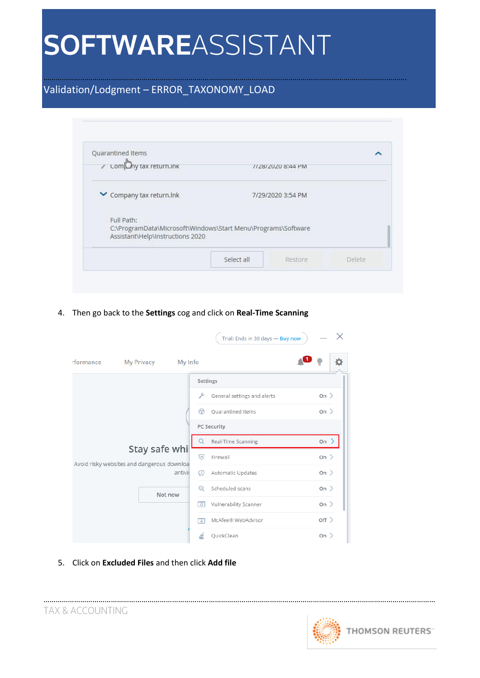## ……………………………………………………………………………………………………………………………………………………………. Validation/Lodgment – ERROR\_TAXONOMY\_LOAD

| ∕ comp <sup>h</sup> ny tax return.ink |                                                               | //28/2020 8:44 PM |  |
|---------------------------------------|---------------------------------------------------------------|-------------------|--|
| Company tax return. Ink               |                                                               | 7/29/2020 3:54 PM |  |
|                                       |                                                               |                   |  |
| Full Path:                            |                                                               |                   |  |
| Assistant\Help\Instructions 2020      | C:\ProgramData\Microsoft\Windows\Start Menu\Programs\Software |                   |  |

4. Then go back to the **Settings** cog and click on **Real-Time Scanning**

|                                            |                   |                          | Trial: Ends in 30 days - Buy now | $\times$  |
|--------------------------------------------|-------------------|--------------------------|----------------------------------|-----------|
| rformance                                  | <b>My Privacy</b> | My Info                  |                                  |           |
|                                            |                   |                          | Settings                         |           |
|                                            |                   | ىر                       | General settings and alerts      | On $\geq$ |
|                                            |                   | ⊛                        | Quarantined items                | On $\geq$ |
|                                            |                   |                          | PC Security                      |           |
|                                            | Stay safe whi     |                          | Real-Time Scanning               | $On \geq$ |
| Avoid risky websites and dangerous downloa |                   | ♡                        | Firewall                         | On $\geq$ |
|                                            |                   | $\mathcal{C}$<br>antivii | Automatic Updates                | On $\geq$ |
|                                            |                   | $^{\circ}$<br>Not now    | Scheduled scans                  | On $\geq$ |
|                                            |                   | ाञ                       | Vulnerability Scanner            | On $\geq$ |
|                                            |                   | n                        | McAfee® WebAdvisor               | $Off$ $>$ |
|                                            |                   |                          | QuickClean                       | On $\geq$ |

5. Click on **Excluded Files** and then click **Add file**